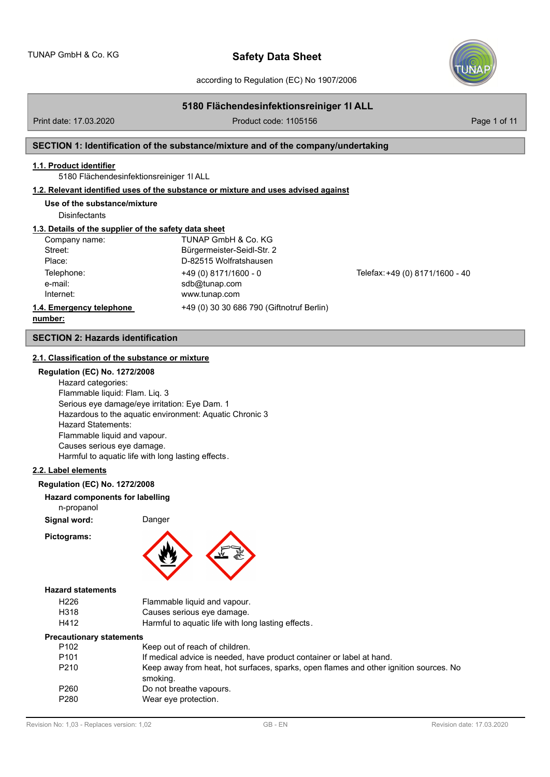according to Regulation (EC) No 1907/2006

## **5180 Flächendesinfektionsreiniger 1l ALL**

Print date: 17.03.2020 **Product code: 1105156** Page 1 of 11

## **SECTION 1: Identification of the substance/mixture and of the company/undertaking**

### **1.1. Product identifier**

5180 Flächendesinfektionsreiniger 1l ALL

## **1.2. Relevant identified uses of the substance or mixture and uses advised against**

### **Use of the substance/mixture**

**Disinfectants** 

## **1.3. Details of the supplier of the safety data sheet**

| Company name:            | TUNAP GmbH & Co. KG                       |                                 |
|--------------------------|-------------------------------------------|---------------------------------|
| Street:                  | Bürgermeister-Seidl-Str. 2                |                                 |
| Place:                   | D-82515 Wolfratshausen                    |                                 |
| Telephone:               | $+49(0)8171/1600 - 0$                     | Telefax: +49 (0) 8171/1600 - 40 |
| e-mail:                  | sdb@tunap.com                             |                                 |
| Internet:                | www.tunap.com                             |                                 |
| 1.4. Emergency telephone | +49 (0) 30 30 686 790 (Giftnotruf Berlin) |                                 |
| . 1.                     |                                           |                                 |

### **number:**

### **SECTION 2: Hazards identification**

### **2.1. Classification of the substance or mixture**

## **Regulation (EC) No. 1272/2008**

Hazard categories: Flammable liquid: Flam. Liq. 3 Serious eye damage/eye irritation: Eye Dam. 1 Hazardous to the aquatic environment: Aquatic Chronic 3 Hazard Statements: Flammable liquid and vapour. Causes serious eye damage. Harmful to aquatic life with long lasting effects.

#### **2.2. Label elements**

### **Regulation (EC) No. 1272/2008**

**Hazard components for labelling**

n-propanol

**Signal word:** Danger

**Pictograms:**



#### **Hazard statements**

| H226 | Flammable liquid and vapour.                       |
|------|----------------------------------------------------|
| H318 | Causes serious eye damage.                         |
| H412 | Harmful to aquatic life with long lasting effects. |

#### **Precautionary statements**

| P <sub>102</sub> | Keep out of reach of children.                                                                    |
|------------------|---------------------------------------------------------------------------------------------------|
| P <sub>101</sub> | If medical advice is needed, have product container or label at hand.                             |
| P <sub>210</sub> | Keep away from heat, hot surfaces, sparks, open flames and other ignition sources. No<br>smoking. |
| P <sub>260</sub> | Do not breathe vapours.                                                                           |
| P280             | Wear eye protection.                                                                              |
|                  |                                                                                                   |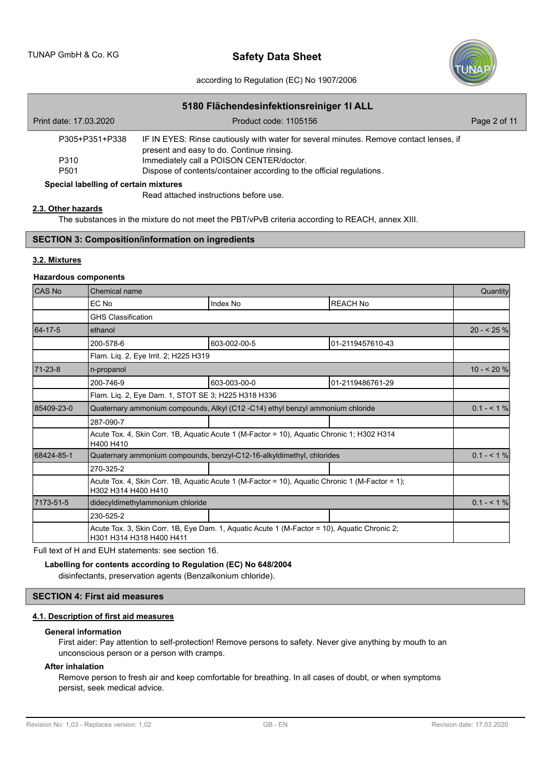

### according to Regulation (EC) No 1907/2006

| 5180 Flächendesinfektionsreiniger 11 ALL |                                                                                                                                     |              |  |  |  |  |
|------------------------------------------|-------------------------------------------------------------------------------------------------------------------------------------|--------------|--|--|--|--|
| Print date: 17.03.2020                   | Product code: 1105156                                                                                                               | Page 2 of 11 |  |  |  |  |
| P305+P351+P338                           | IF IN EYES: Rinse cautiously with water for several minutes. Remove contact lenses, if<br>present and easy to do. Continue rinsing. |              |  |  |  |  |
| P310                                     | Immediately call a POISON CENTER/doctor.                                                                                            |              |  |  |  |  |
| P <sub>501</sub>                         | Dispose of contents/container according to the official regulations.                                                                |              |  |  |  |  |
| Special labelling of certain mixtures    |                                                                                                                                     |              |  |  |  |  |

Read attached instructions before use.

## **2.3. Other hazards**

The substances in the mixture do not meet the PBT/vPvB criteria according to REACH, annex XIII.

## **SECTION 3: Composition/information on ingredients**

## **3.2. Mixtures**

## **Hazardous components**

| CAS No     | Chemical name                                                                                                            |                                                                       |                  |                |  |
|------------|--------------------------------------------------------------------------------------------------------------------------|-----------------------------------------------------------------------|------------------|----------------|--|
|            | EC No                                                                                                                    | Index No                                                              | <b>REACH No</b>  |                |  |
|            | <b>GHS Classification</b>                                                                                                |                                                                       |                  |                |  |
| 64-17-5    | ethanol                                                                                                                  |                                                                       |                  | $20 - 25%$     |  |
|            | 200-578-6                                                                                                                | 603-002-00-5                                                          | 01-2119457610-43 |                |  |
|            | Flam. Lig. 2, Eye Irrit. 2; H225 H319                                                                                    |                                                                       |                  |                |  |
| 71-23-8    | n-propanol                                                                                                               |                                                                       |                  | $10 - 20%$     |  |
|            | 200-746-9                                                                                                                | 603-003-00-0                                                          | 01-2119486761-29 |                |  |
|            | Flam. Liq. 2, Eye Dam. 1, STOT SE 3; H225 H318 H336                                                                      |                                                                       |                  |                |  |
| 85409-23-0 | Quaternary ammonium compounds, Alkyl (C12 -C14) ethyl benzyl ammonium chloride                                           |                                                                       |                  |                |  |
|            | 287-090-7                                                                                                                |                                                                       |                  |                |  |
|            | Acute Tox. 4, Skin Corr. 1B, Aquatic Acute 1 (M-Factor = 10), Aquatic Chronic 1; H302 H314<br>H400 H410                  |                                                                       |                  |                |  |
| 68424-85-1 |                                                                                                                          | Quaternary ammonium compounds, benzyl-C12-16-alkyldimethyl, chlorides |                  | $0.1 - 5.1 \%$ |  |
|            | 270-325-2                                                                                                                |                                                                       |                  |                |  |
|            | Acute Tox. 4, Skin Corr. 1B, Aquatic Acute 1 (M-Factor = 10), Aquatic Chronic 1 (M-Factor = 1);<br>H302 H314 H400 H410   |                                                                       |                  |                |  |
| 7173-51-5  | didecyldimethylammonium chloride                                                                                         |                                                                       |                  |                |  |
|            | 230-525-2                                                                                                                |                                                                       |                  |                |  |
|            | Acute Tox. 3, Skin Corr. 1B, Eye Dam. 1, Aguatic Acute 1 (M-Factor = 10), Aguatic Chronic 2;<br>H301 H314 H318 H400 H411 |                                                                       |                  |                |  |

Full text of H and EUH statements: see section 16.

## **Labelling for contents according to Regulation (EC) No 648/2004**

disinfectants, preservation agents (Benzalkonium chloride).

## **SECTION 4: First aid measures**

## **4.1. Description of first aid measures**

### **General information**

First aider: Pay attention to self-protection! Remove persons to safety. Never give anything by mouth to an unconscious person or a person with cramps.

## **After inhalation**

Remove person to fresh air and keep comfortable for breathing. In all cases of doubt, or when symptoms persist, seek medical advice.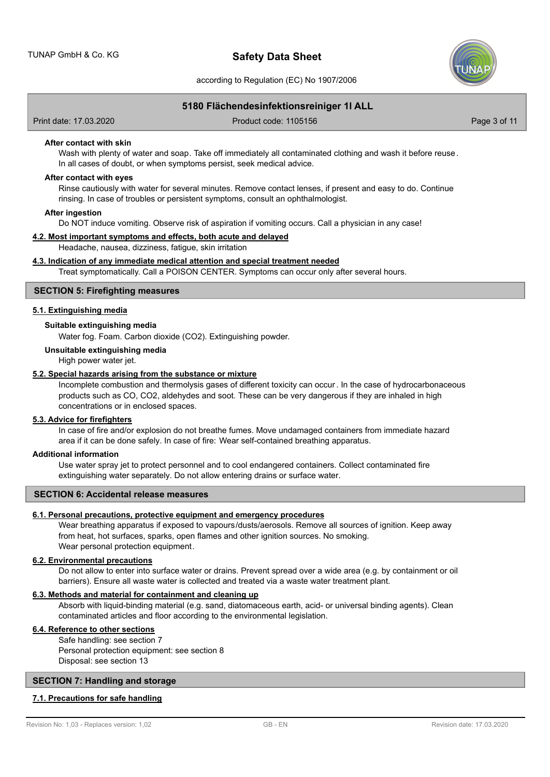

according to Regulation (EC) No 1907/2006

## **5180 Flächendesinfektionsreiniger 1l ALL**

Print date: 17.03.2020 Product code: 1105156 Page 3 of 11

#### **After contact with skin**

Wash with plenty of water and soap. Take off immediately all contaminated clothing and wash it before reuse. In all cases of doubt, or when symptoms persist, seek medical advice.

#### **After contact with eyes**

Rinse cautiously with water for several minutes. Remove contact lenses, if present and easy to do. Continue rinsing. In case of troubles or persistent symptoms, consult an ophthalmologist.

#### **After ingestion**

Do NOT induce vomiting. Observe risk of aspiration if vomiting occurs. Call a physician in any case!

### **4.2. Most important symptoms and effects, both acute and delayed**

Headache, nausea, dizziness, fatigue, skin irritation

### **4.3. Indication of any immediate medical attention and special treatment needed**

Treat symptomatically. Call a POISON CENTER. Symptoms can occur only after several hours.

## **SECTION 5: Firefighting measures**

### **5.1. Extinguishing media**

## **Suitable extinguishing media**

Water fog. Foam. Carbon dioxide (CO2). Extinguishing powder.

### **Unsuitable extinguishing media**

High power water jet.

### **5.2. Special hazards arising from the substance or mixture**

Incomplete combustion and thermolysis gases of different toxicity can occur. In the case of hydrocarbonaceous products such as CO, CO2, aldehydes and soot. These can be very dangerous if they are inhaled in high concentrations or in enclosed spaces.

### **5.3. Advice for firefighters**

In case of fire and/or explosion do not breathe fumes. Move undamaged containers from immediate hazard area if it can be done safely. In case of fire: Wear self-contained breathing apparatus.

### **Additional information**

Use water spray jet to protect personnel and to cool endangered containers. Collect contaminated fire extinguishing water separately. Do not allow entering drains or surface water.

#### **SECTION 6: Accidental release measures**

### **6.1. Personal precautions, protective equipment and emergency procedures**

Wear breathing apparatus if exposed to vapours/dusts/aerosols. Remove all sources of ignition. Keep away from heat, hot surfaces, sparks, open flames and other ignition sources. No smoking. Wear personal protection equipment.

#### **6.2. Environmental precautions**

Do not allow to enter into surface water or drains. Prevent spread over a wide area (e.g. by containment or oil barriers). Ensure all waste water is collected and treated via a waste water treatment plant.

## **6.3. Methods and material for containment and cleaning up**

Absorb with liquid-binding material (e.g. sand, diatomaceous earth, acid- or universal binding agents). Clean contaminated articles and floor according to the environmental legislation.

## **6.4. Reference to other sections**

Safe handling: see section 7 Personal protection equipment: see section 8

Disposal: see section 13

## **SECTION 7: Handling and storage**

### **7.1. Precautions for safe handling**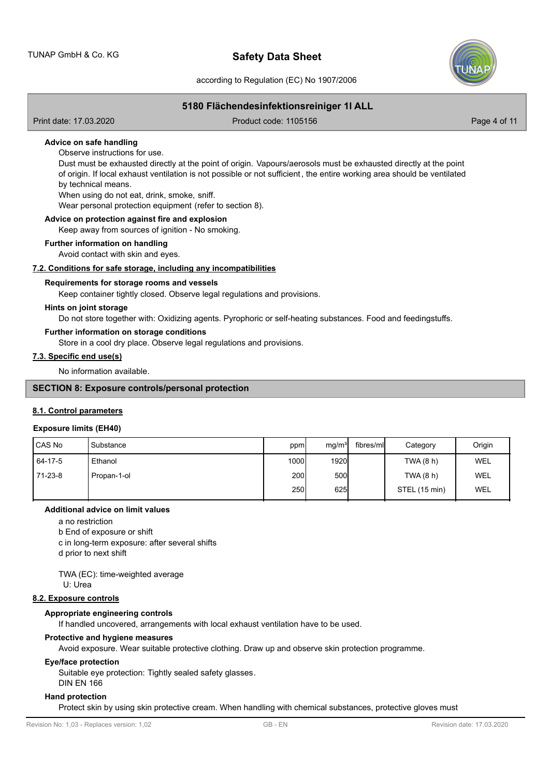

according to Regulation (EC) No 1907/2006

## **5180 Flächendesinfektionsreiniger 1l ALL**

Print date: 17.03.2020 Product code: 1105156 Page 4 of 11

### **Advice on safe handling**

Observe instructions for use.

Dust must be exhausted directly at the point of origin. Vapours/aerosols must be exhausted directly at the point of origin. If local exhaust ventilation is not possible or not sufficient, the entire working area should be ventilated by technical means.

When using do not eat, drink, smoke, sniff.

Wear personal protection equipment (refer to section 8).

## **Advice on protection against fire and explosion**

Keep away from sources of ignition - No smoking.

### **Further information on handling**

Avoid contact with skin and eyes.

### **7.2. Conditions for safe storage, including any incompatibilities**

### **Requirements for storage rooms and vessels**

Keep container tightly closed. Observe legal regulations and provisions.

### **Hints on joint storage**

Do not store together with: Oxidizing agents. Pyrophoric or self-heating substances. Food and feedingstuffs.

#### **Further information on storage conditions**

Store in a cool dry place. Observe legal regulations and provisions.

### **7.3. Specific end use(s)**

No information available.

## **SECTION 8: Exposure controls/personal protection**

### **8.1. Control parameters**

#### **Exposure limits (EH40)**

| CAS No  | Substance   | ppm              | mg/m <sup>3</sup> | fibres/mll | Category      | Origin |
|---------|-------------|------------------|-------------------|------------|---------------|--------|
| 64-17-5 | Ethanol     | 1000 <b>l</b>    | <b>1920</b>       |            | TWA (8 h)     | WEL    |
| 71-23-8 | Propan-1-ol | 200 <sup>1</sup> | 500               |            | TWA (8 h)     | WEL    |
|         |             | <b>250</b>       | 625               |            | STEL (15 min) | WEL    |

#### **Additional advice on limit values**

a no restriction

b End of exposure or shift

c in long-term exposure: after several shifts

d prior to next shift

TWA (EC): time-weighted average

U: Urea

#### **8.2. Exposure controls**

#### **Appropriate engineering controls**

If handled uncovered, arrangements with local exhaust ventilation have to be used.

### **Protective and hygiene measures**

Avoid exposure. Wear suitable protective clothing. Draw up and observe skin protection programme.

#### **Eye/face protection**

Suitable eye protection: Tightly sealed safety glasses.

DIN EN 166

### **Hand protection**

Protect skin by using skin protective cream. When handling with chemical substances, protective gloves must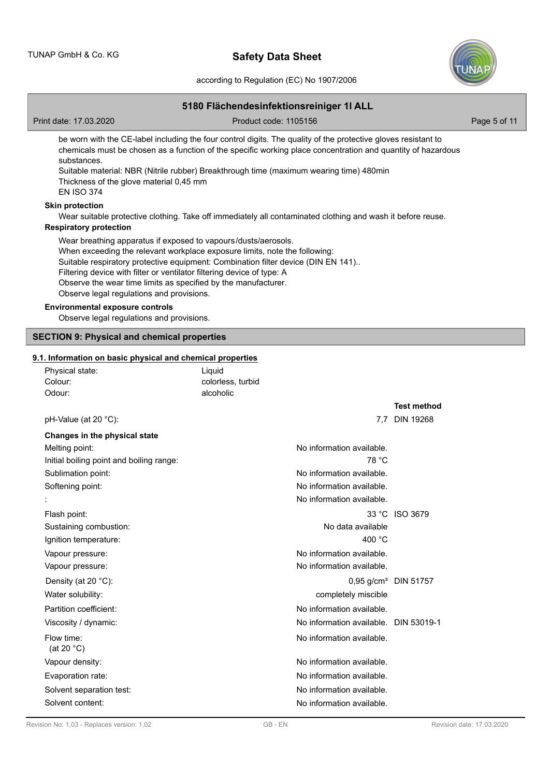

according to Regulation (EC) No 1907/2006

## **5180 Flächendesinfektionsreiniger 1l ALL**

Print date: 17.03.2020 Product code: 1105156 Page 5 of 11

be worn with the CE-label including the four control digits. The quality of the protective gloves resistant to chemicals must be chosen as a function of the specific working place concentration and quantity of hazardous substances.

Suitable material: NBR (Nitrile rubber) Breakthrough time (maximum wearing time) 480min Thickness of the glove material 0,45 mm

# EN ISO 374

## **Skin protection**

Wear suitable protective clothing. Take off immediately all contaminated clothing and wash it before reuse.

### **Respiratory protection**

Wear breathing apparatus if exposed to vapours/dusts/aerosols. When exceeding the relevant workplace exposure limits, note the following: Suitable respiratory protective equipment: Combination filter device (DIN EN 141).. Filtering device with filter or ventilator filtering device of type: A Observe the wear time limits as specified by the manufacturer. Observe legal regulations and provisions.

## **Environmental exposure controls**

Observe legal regulations and provisions.

## **SECTION 9: Physical and chemical properties**

### **9.1. Information on basic physical and chemical properties**

| i. Information on basic physical and chemical properties |                   |                                       |                                  |
|----------------------------------------------------------|-------------------|---------------------------------------|----------------------------------|
| Physical state:                                          | Liquid            |                                       |                                  |
| Colour:                                                  | colorless, turbid |                                       |                                  |
| Odour:                                                   | alcoholic         |                                       |                                  |
|                                                          |                   |                                       | <b>Test method</b>               |
| pH-Value (at $20^{\circ}$ C):                            |                   |                                       | 7.7 DIN 19268                    |
| Changes in the physical state                            |                   |                                       |                                  |
| Melting point:                                           |                   | No information available.             |                                  |
| Initial boiling point and boiling range:                 |                   | 78 °C                                 |                                  |
| Sublimation point:                                       |                   | No information available.             |                                  |
| Softening point:                                         |                   | No information available.             |                                  |
|                                                          |                   | No information available.             |                                  |
| Flash point:                                             |                   |                                       | 33 °C ISO 3679                   |
| Sustaining combustion:                                   |                   | No data available                     |                                  |
| Ignition temperature:                                    |                   | 400 $^{\circ}$ C                      |                                  |
| Vapour pressure:                                         |                   | No information available.             |                                  |
| Vapour pressure:                                         |                   | No information available.             |                                  |
| Density (at 20 $^{\circ}$ C):                            |                   |                                       | 0.95 g/cm <sup>3</sup> DIN 51757 |
| Water solubility:                                        |                   | completely miscible                   |                                  |
| Partition coefficient:                                   |                   | No information available.             |                                  |
| Viscosity / dynamic:                                     |                   | No information available. DIN 53019-1 |                                  |
| Flow time:<br>(at 20 $°C$ )                              |                   | No information available.             |                                  |
| Vapour density:                                          |                   | No information available.             |                                  |
| Evaporation rate:                                        |                   | No information available.             |                                  |
| Solvent separation test:                                 |                   | No information available.             |                                  |
| Solvent content:                                         |                   | No information available.             |                                  |
|                                                          |                   |                                       |                                  |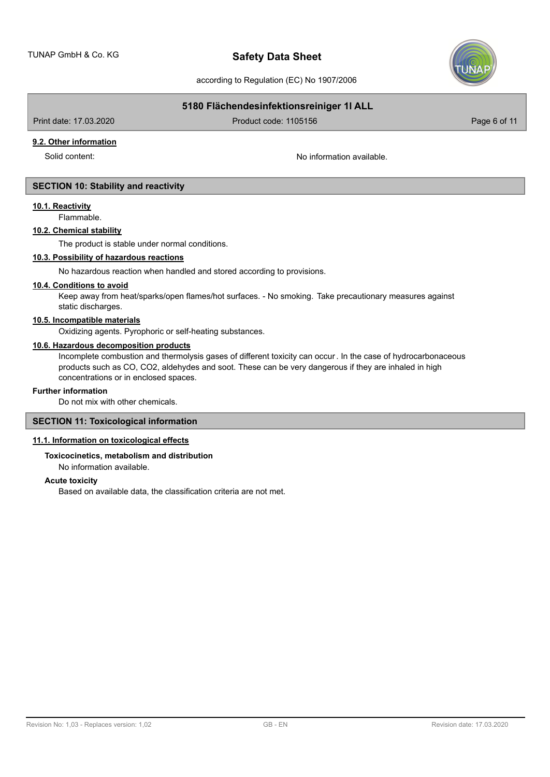

according to Regulation (EC) No 1907/2006

## **5180 Flächendesinfektionsreiniger 1l ALL**

Print date: 17.03.2020 Product code: 1105156 Page 6 of 11

**9.2. Other information**

Solid content: No information available.

## **SECTION 10: Stability and reactivity**

### **10.1. Reactivity**

Flammable.

## **10.2. Chemical stability**

The product is stable under normal conditions.

## **10.3. Possibility of hazardous reactions**

No hazardous reaction when handled and stored according to provisions.

## **10.4. Conditions to avoid**

Keep away from heat/sparks/open flames/hot surfaces. - No smoking. Take precautionary measures against static discharges.

## **10.5. Incompatible materials**

Oxidizing agents. Pyrophoric or self-heating substances.

## **10.6. Hazardous decomposition products**

Incomplete combustion and thermolysis gases of different toxicity can occur. In the case of hydrocarbonaceous products such as CO, CO2, aldehydes and soot. These can be very dangerous if they are inhaled in high concentrations or in enclosed spaces.

#### **Further information**

Do not mix with other chemicals.

## **SECTION 11: Toxicological information**

### **11.1. Information on toxicological effects**

## **Toxicocinetics, metabolism and distribution**

No information available.

## **Acute toxicity**

Based on available data, the classification criteria are not met.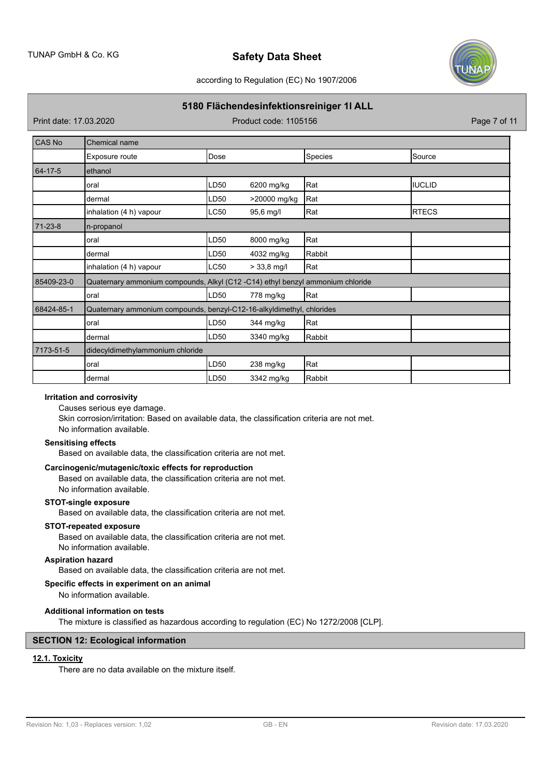

according to Regulation (EC) No 1907/2006

## **5180 Flächendesinfektionsreiniger 1l ALL**

Print date: 17.03.2020 Product code: 1105156 Page 7 of 11

| <b>CAS No</b> | Chemical name                                                                  |      |               |         |               |  |
|---------------|--------------------------------------------------------------------------------|------|---------------|---------|---------------|--|
|               | Exposure route                                                                 | Dose |               | Species | Source        |  |
| 64-17-5       | ethanol                                                                        |      |               |         |               |  |
|               | oral                                                                           | LD50 | 6200 mg/kg    | Rat     | <b>IUCLID</b> |  |
|               | dermal                                                                         | LD50 | >20000 mg/kg  | Rat     |               |  |
|               | inhalation (4 h) vapour                                                        | LC50 | 95,6 mg/l     | Rat     | <b>RTECS</b>  |  |
| $71 - 23 - 8$ | n-propanol                                                                     |      |               |         |               |  |
|               | oral                                                                           | LD50 | 8000 mg/kg    | Rat     |               |  |
|               | dermal                                                                         | LD50 | 4032 mg/kg    | Rabbit  |               |  |
|               | inhalation (4 h) vapour                                                        | LC50 | $> 33,8$ mg/l | Rat     |               |  |
| 85409-23-0    | Quaternary ammonium compounds, Alkyl (C12 -C14) ethyl benzyl ammonium chloride |      |               |         |               |  |
|               | oral                                                                           | LD50 | 778 mg/kg     | Rat     |               |  |
| 68424-85-1    | Quaternary ammonium compounds, benzyl-C12-16-alkyldimethyl, chlorides          |      |               |         |               |  |
|               | oral                                                                           | LD50 | 344 mg/kg     | Rat     |               |  |
|               | dermal                                                                         | LD50 | 3340 mg/kg    | Rabbit  |               |  |
| 7173-51-5     | didecyldimethylammonium chloride                                               |      |               |         |               |  |
|               | oral                                                                           | LD50 | $238$ mg/kg   | Rat     |               |  |
|               | dermal                                                                         | LD50 | 3342 mg/kg    | Rabbit  |               |  |

## **Irritation and corrosivity**

Causes serious eye damage.

Skin corrosion/irritation: Based on available data, the classification criteria are not met. No information available.

### **Sensitising effects**

Based on available data, the classification criteria are not met.

## **Carcinogenic/mutagenic/toxic effects for reproduction**

Based on available data, the classification criteria are not met. No information available.

#### **STOT-single exposure**

Based on available data, the classification criteria are not met.

## **STOT-repeated exposure**

Based on available data, the classification criteria are not met. No information available.

# **Aspiration hazard**

Based on available data, the classification criteria are not met.

### **Specific effects in experiment on an animal**

No information available.

#### **Additional information on tests**

The mixture is classified as hazardous according to regulation (EC) No 1272/2008 [CLP].

## **SECTION 12: Ecological information**

## **12.1. Toxicity**

There are no data available on the mixture itself.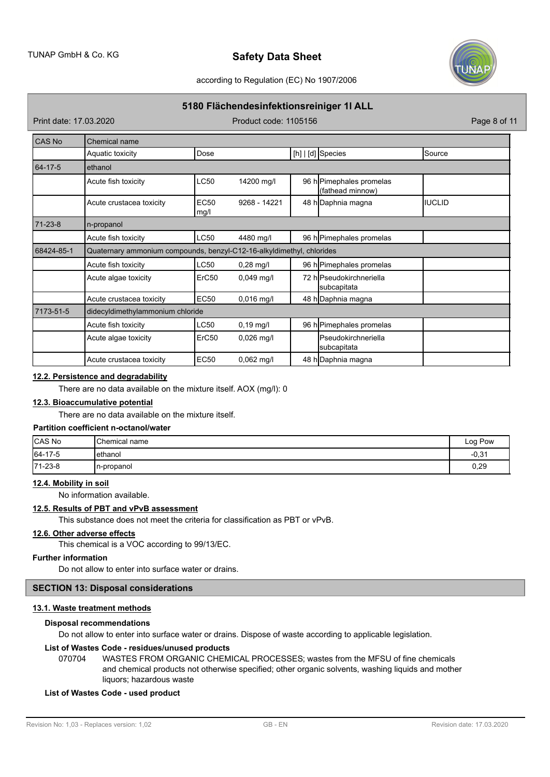

according to Regulation (EC) No 1907/2006

## **5180 Flächendesinfektionsreiniger 1l ALL**

Print date: 17.03.2020 Product code: 1105156 Page 8 of 11

| <b>CAS No</b> | Chemical name                                                          |                     |              |  |                                              |                |
|---------------|------------------------------------------------------------------------|---------------------|--------------|--|----------------------------------------------|----------------|
|               | Aquatic toxicity                                                       | Dose                |              |  | [h] $ d]$ Species                            | Source         |
| $64 - 17 - 5$ | ethanol                                                                |                     |              |  |                                              |                |
|               | Acute fish toxicity                                                    | <b>LC50</b>         | 14200 mg/l   |  | 96 h Pimephales promelas<br>(fathead minnow) |                |
|               | Acute crustacea toxicity                                               | <b>EC50</b><br>mg/l | 9268 - 14221 |  | 48 h Daphnia magna                           | <b>IIUCLID</b> |
| $71 - 23 - 8$ | n-propanol                                                             |                     |              |  |                                              |                |
|               | Acute fish toxicity                                                    | LC50                | 4480 mg/l    |  | 96 h Pimephales promelas                     |                |
| 68424-85-1    | Quaternary ammonium compounds, benzyl-C12-16-alkyldimethyl, chlorides  |                     |              |  |                                              |                |
|               | Acute fish toxicity                                                    | LC50                | $0,28$ mg/l  |  | 96 h Pimephales promelas                     |                |
|               | Acute algae toxicity                                                   | ErC50               | $0.049$ mg/l |  | 72 hlPseudokirchneriella<br>subcapitata      |                |
|               | Acute crustacea toxicity                                               | <b>EC50</b>         | $0,016$ mg/l |  | 48 h Daphnia magna                           |                |
| 7173-51-5     | didecyldimethylammonium chloride                                       |                     |              |  |                                              |                |
|               | LC50<br>96 h Pimephales promelas<br>Acute fish toxicity<br>$0,19$ mg/l |                     |              |  |                                              |                |
|               | Acute algae toxicity                                                   | ErC50               | $0,026$ mg/l |  | lPseudokirchneriella<br> subcapitata         |                |
|               | Acute crustacea toxicity                                               | <b>EC50</b>         | $0,062$ mg/l |  | 48 h Daphnia magna                           |                |

## **12.2. Persistence and degradability**

There are no data available on the mixture itself. AOX (mg/l): 0

## **12.3. Bioaccumulative potential**

There are no data available on the mixture itself.

## **Partition coefficient n-octanol/water**

| <b>CAS No</b> | <b>I</b> Chemical name | Log Pow |
|---------------|------------------------|---------|
| $ 64-17-5$    | lethanol               | $-0.31$ |
| $ 71-23-8$    | In-propanol            | 0,29    |

## **12.4. Mobility in soil**

No information available.

## **12.5. Results of PBT and vPvB assessment**

This substance does not meet the criteria for classification as PBT or vPvB.

### **12.6. Other adverse effects**

This chemical is a VOC according to 99/13/EC.

## **Further information**

Do not allow to enter into surface water or drains.

## **SECTION 13: Disposal considerations**

### **13.1. Waste treatment methods**

### **Disposal recommendations**

Do not allow to enter into surface water or drains. Dispose of waste according to applicable legislation.

### **List of Wastes Code - residues/unused products**

070704 WASTES FROM ORGANIC CHEMICAL PROCESSES; wastes from the MFSU of fine chemicals and chemical products not otherwise specified; other organic solvents, washing liquids and mother liquors; hazardous waste

### **List of Wastes Code - used product**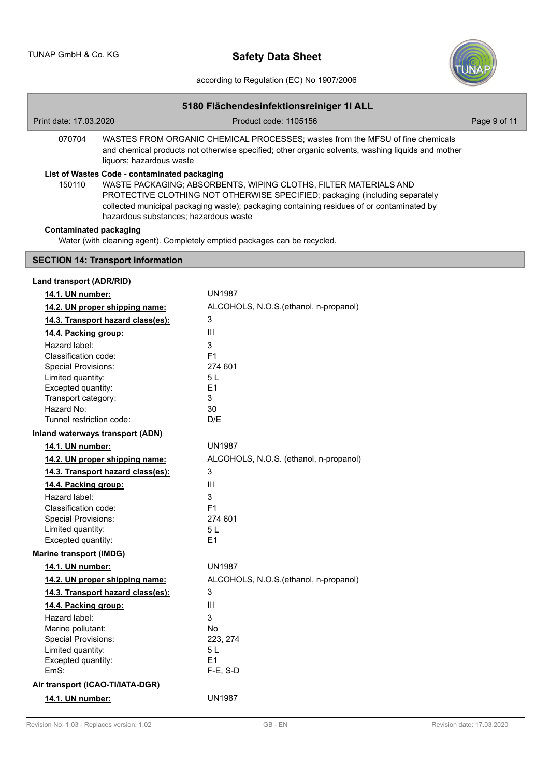

according to Regulation (EC) No 1907/2006

| 5180 Flächendesinfektionsreiniger 1I ALL                                                                                                                                                                                  |                                                                                                                                                                                                                                                                                                                                        |              |  |  |  |  |
|---------------------------------------------------------------------------------------------------------------------------------------------------------------------------------------------------------------------------|----------------------------------------------------------------------------------------------------------------------------------------------------------------------------------------------------------------------------------------------------------------------------------------------------------------------------------------|--------------|--|--|--|--|
| Print date: 17.03.2020                                                                                                                                                                                                    | Product code: 1105156                                                                                                                                                                                                                                                                                                                  | Page 9 of 11 |  |  |  |  |
| 070704<br>WASTES FROM ORGANIC CHEMICAL PROCESSES; wastes from the MFSU of fine chemicals<br>and chemical products not otherwise specified; other organic solvents, washing liquids and mother<br>liquors; hazardous waste |                                                                                                                                                                                                                                                                                                                                        |              |  |  |  |  |
| 150110                                                                                                                                                                                                                    | List of Wastes Code - contaminated packaging<br>WASTE PACKAGING; ABSORBENTS, WIPING CLOTHS, FILTER MATERIALS AND<br>PROTECTIVE CLOTHING NOT OTHERWISE SPECIFIED; packaging (including separately<br>collected municipal packaging waste); packaging containing residues of or contaminated by<br>hazardous substances; hazardous waste |              |  |  |  |  |
| <b>Contaminated packaging</b>                                                                                                                                                                                             | Water (with cleaning agent). Completely emptied packages can be recycled.                                                                                                                                                                                                                                                              |              |  |  |  |  |
| <b>SECTION 14: Transport information</b>                                                                                                                                                                                  |                                                                                                                                                                                                                                                                                                                                        |              |  |  |  |  |
| Land transport (ADR/RID)                                                                                                                                                                                                  |                                                                                                                                                                                                                                                                                                                                        |              |  |  |  |  |
| 14.1. UN number:                                                                                                                                                                                                          | <b>UN1987</b>                                                                                                                                                                                                                                                                                                                          |              |  |  |  |  |
| 14.2. UN proper shipping name:                                                                                                                                                                                            | ALCOHOLS, N.O.S. (ethanol, n-propanol)                                                                                                                                                                                                                                                                                                 |              |  |  |  |  |
| 14.3. Transport hazard class(es):                                                                                                                                                                                         | 3                                                                                                                                                                                                                                                                                                                                      |              |  |  |  |  |
| 14.4. Packing group:                                                                                                                                                                                                      | III                                                                                                                                                                                                                                                                                                                                    |              |  |  |  |  |
| Hazard label:                                                                                                                                                                                                             | 3                                                                                                                                                                                                                                                                                                                                      |              |  |  |  |  |
| Classification code:                                                                                                                                                                                                      | F <sub>1</sub>                                                                                                                                                                                                                                                                                                                         |              |  |  |  |  |
| Special Provisions:                                                                                                                                                                                                       | 274 601                                                                                                                                                                                                                                                                                                                                |              |  |  |  |  |
| Limited quantity:                                                                                                                                                                                                         | 5L                                                                                                                                                                                                                                                                                                                                     |              |  |  |  |  |
| Excepted quantity:                                                                                                                                                                                                        | E1                                                                                                                                                                                                                                                                                                                                     |              |  |  |  |  |
| Transport category:                                                                                                                                                                                                       | 3                                                                                                                                                                                                                                                                                                                                      |              |  |  |  |  |
| Hazard No:                                                                                                                                                                                                                | 30                                                                                                                                                                                                                                                                                                                                     |              |  |  |  |  |
| Tunnel restriction code:                                                                                                                                                                                                  | D/E                                                                                                                                                                                                                                                                                                                                    |              |  |  |  |  |
| Inland waterways transport (ADN)                                                                                                                                                                                          |                                                                                                                                                                                                                                                                                                                                        |              |  |  |  |  |
| 14.1. UN number:                                                                                                                                                                                                          | <b>UN1987</b>                                                                                                                                                                                                                                                                                                                          |              |  |  |  |  |
| 14.2. UN proper shipping name:                                                                                                                                                                                            | ALCOHOLS, N.O.S. (ethanol, n-propanol)                                                                                                                                                                                                                                                                                                 |              |  |  |  |  |
| 14.3. Transport hazard class(es):                                                                                                                                                                                         | 3                                                                                                                                                                                                                                                                                                                                      |              |  |  |  |  |
| 14.4. Packing group:                                                                                                                                                                                                      | $\mathbf{III}$                                                                                                                                                                                                                                                                                                                         |              |  |  |  |  |
| Hazard label:                                                                                                                                                                                                             | 3                                                                                                                                                                                                                                                                                                                                      |              |  |  |  |  |
| Classification code:                                                                                                                                                                                                      | F <sub>1</sub>                                                                                                                                                                                                                                                                                                                         |              |  |  |  |  |
| <b>Special Provisions:</b>                                                                                                                                                                                                | 274 601                                                                                                                                                                                                                                                                                                                                |              |  |  |  |  |
| Limited quantity:                                                                                                                                                                                                         | 5L                                                                                                                                                                                                                                                                                                                                     |              |  |  |  |  |
| Excepted quantity:                                                                                                                                                                                                        | E <sub>1</sub>                                                                                                                                                                                                                                                                                                                         |              |  |  |  |  |
| <b>Marine transport (IMDG)</b>                                                                                                                                                                                            |                                                                                                                                                                                                                                                                                                                                        |              |  |  |  |  |
| 14.1. UN number:                                                                                                                                                                                                          | <b>UN1987</b>                                                                                                                                                                                                                                                                                                                          |              |  |  |  |  |
| 14.2. UN proper shipping name:                                                                                                                                                                                            | ALCOHOLS, N.O.S.(ethanol, n-propanol)                                                                                                                                                                                                                                                                                                  |              |  |  |  |  |
| 14.3. Transport hazard class(es):                                                                                                                                                                                         | 3                                                                                                                                                                                                                                                                                                                                      |              |  |  |  |  |
| 14.4. Packing group:                                                                                                                                                                                                      | III                                                                                                                                                                                                                                                                                                                                    |              |  |  |  |  |
| Hazard label:                                                                                                                                                                                                             | 3                                                                                                                                                                                                                                                                                                                                      |              |  |  |  |  |
| Marine pollutant:                                                                                                                                                                                                         | No                                                                                                                                                                                                                                                                                                                                     |              |  |  |  |  |
| Special Provisions:                                                                                                                                                                                                       | 223, 274                                                                                                                                                                                                                                                                                                                               |              |  |  |  |  |
| Limited quantity:                                                                                                                                                                                                         | 5 L                                                                                                                                                                                                                                                                                                                                    |              |  |  |  |  |
| Excepted quantity:                                                                                                                                                                                                        | E <sub>1</sub>                                                                                                                                                                                                                                                                                                                         |              |  |  |  |  |
| EmS:                                                                                                                                                                                                                      | $F-E$ , S-D                                                                                                                                                                                                                                                                                                                            |              |  |  |  |  |
| Air transport (ICAO-TI/IATA-DGR)                                                                                                                                                                                          |                                                                                                                                                                                                                                                                                                                                        |              |  |  |  |  |
| 14.1. UN number:                                                                                                                                                                                                          | <b>UN1987</b>                                                                                                                                                                                                                                                                                                                          |              |  |  |  |  |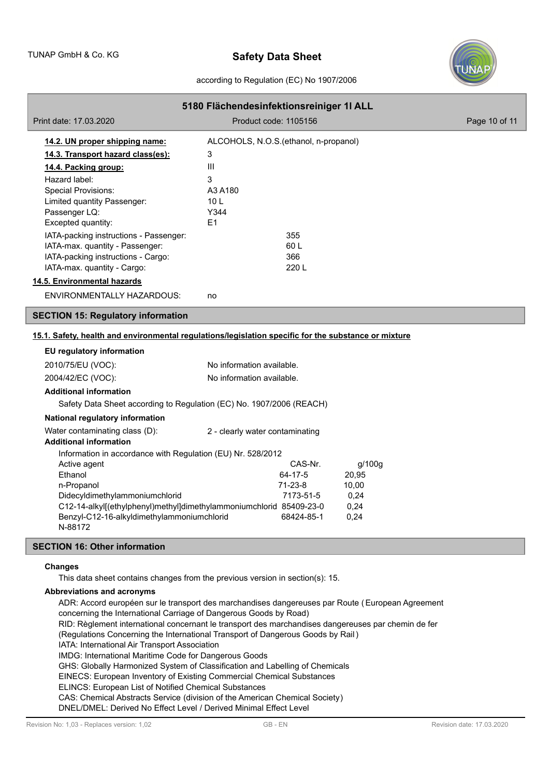

### according to Regulation (EC) No 1907/2006

|                                                                                                  | 5180 Flächendesinfektionsreiniger 1I ALL                                                             |                                        |               |  |  |
|--------------------------------------------------------------------------------------------------|------------------------------------------------------------------------------------------------------|----------------------------------------|---------------|--|--|
|                                                                                                  | Print date: 17.03.2020                                                                               | Product code: 1105156                  | Page 10 of 11 |  |  |
|                                                                                                  | 14.2. UN proper shipping name:                                                                       | ALCOHOLS, N.O.S. (ethanol, n-propanol) |               |  |  |
|                                                                                                  | 14.3. Transport hazard class(es):                                                                    | 3                                      |               |  |  |
|                                                                                                  | 14.4. Packing group:                                                                                 | Ш                                      |               |  |  |
|                                                                                                  | Hazard label:                                                                                        | 3                                      |               |  |  |
|                                                                                                  | <b>Special Provisions:</b>                                                                           | A3 A180                                |               |  |  |
|                                                                                                  | Limited quantity Passenger:                                                                          | 10 <sub>L</sub>                        |               |  |  |
|                                                                                                  | Passenger LQ:                                                                                        | Y344                                   |               |  |  |
|                                                                                                  | Excepted quantity:                                                                                   | E <sub>1</sub>                         |               |  |  |
|                                                                                                  | IATA-packing instructions - Passenger:                                                               | 355                                    |               |  |  |
|                                                                                                  | IATA-max. quantity - Passenger:                                                                      | 60L                                    |               |  |  |
|                                                                                                  | IATA-packing instructions - Cargo:                                                                   | 366                                    |               |  |  |
|                                                                                                  | IATA-max. quantity - Cargo:                                                                          | 220 L                                  |               |  |  |
|                                                                                                  | 14.5. Environmental hazards                                                                          |                                        |               |  |  |
|                                                                                                  | <b>ENVIRONMENTALLY HAZARDOUS:</b>                                                                    | no                                     |               |  |  |
|                                                                                                  | <b>SECTION 15: Regulatory information</b>                                                            |                                        |               |  |  |
|                                                                                                  | 15.1. Safety, health and environmental regulations/legislation specific for the substance or mixture |                                        |               |  |  |
|                                                                                                  | EU regulatory information                                                                            |                                        |               |  |  |
|                                                                                                  | 2010/75/EU (VOC):                                                                                    | No information available.              |               |  |  |
|                                                                                                  | 2004/42/EC (VOC):                                                                                    | No information available.              |               |  |  |
|                                                                                                  | <b>Additional information</b>                                                                        |                                        |               |  |  |
|                                                                                                  | Safety Data Sheet according to Regulation (EC) No. 1907/2006 (REACH)                                 |                                        |               |  |  |
|                                                                                                  | National regulatory information                                                                      |                                        |               |  |  |
|                                                                                                  |                                                                                                      |                                        |               |  |  |
|                                                                                                  | Water contaminating class (D):<br><b>Additional information</b>                                      | 2 - clearly water contaminating        |               |  |  |
|                                                                                                  |                                                                                                      |                                        |               |  |  |
| Information in accordance with Regulation (EU) Nr. 528/2012<br>Active agent<br>CAS-Nr.<br>g/100g |                                                                                                      |                                        |               |  |  |
|                                                                                                  | Ethanol                                                                                              | 64-17-5<br>20,95                       |               |  |  |
|                                                                                                  | n-Propanol                                                                                           | $71-23-8$<br>10,00                     |               |  |  |
|                                                                                                  | Didecyldimethylammoniumchlorid                                                                       | 7173-51-5<br>0,24                      |               |  |  |
|                                                                                                  | C12-14-alkyl[(ethylphenyl)methyl]dimethylammoniumchlorid 85409-23-0                                  | 0,24                                   |               |  |  |
|                                                                                                  | Benzyl-C12-16-alkyldimethylammoniumchlorid<br>N-88172                                                | 68424-85-1<br>0,24                     |               |  |  |

## **SECTION 16: Other information**

### **Changes**

This data sheet contains changes from the previous version in section(s): 15.

## **Abbreviations and acronyms**

ADR: Accord européen sur le transport des marchandises dangereuses par Route (European Agreement concerning the International Carriage of Dangerous Goods by Road) RID: Règlement international concernant le transport des marchandises dangereuses par chemin de fer (Regulations Concerning the International Transport of Dangerous Goods by Rail) IATA: International Air Transport Association IMDG: International Maritime Code for Dangerous Goods GHS: Globally Harmonized System of Classification and Labelling of Chemicals EINECS: European Inventory of Existing Commercial Chemical Substances ELINCS: European List of Notified Chemical Substances CAS: Chemical Abstracts Service (division of the American Chemical Society) DNEL/DMEL: Derived No Effect Level / Derived Minimal Effect Level